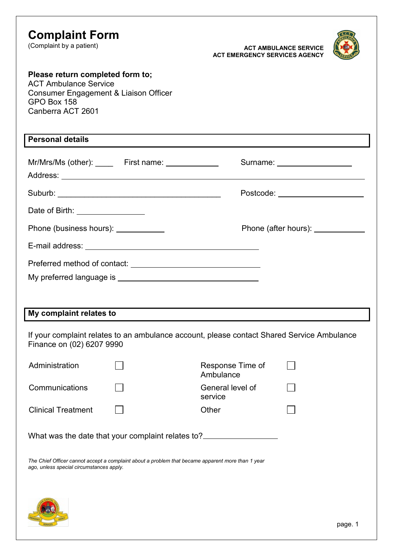| <b>Complaint Form</b><br>(Complaint by a patient)                                                                                                                                                                              |                               | <b>ACT AMBULANCE SERVICE</b><br><b>ACT EMERGENCY SERVICES AGENCY</b>                                                                                                                                                          |  |
|--------------------------------------------------------------------------------------------------------------------------------------------------------------------------------------------------------------------------------|-------------------------------|-------------------------------------------------------------------------------------------------------------------------------------------------------------------------------------------------------------------------------|--|
| Please return completed form to;<br><b>ACT Ambulance Service</b><br>Consumer Engagement & Liaison Officer<br>GPO Box 158<br>Canberra ACT 2601                                                                                  |                               |                                                                                                                                                                                                                               |  |
| <b>Personal details</b>                                                                                                                                                                                                        |                               |                                                                                                                                                                                                                               |  |
| Mr/Mrs/Ms (other): _______ First name: ______________                                                                                                                                                                          |                               | Surname: <u>www.community.com</u>                                                                                                                                                                                             |  |
|                                                                                                                                                                                                                                |                               | Postcode: New York Department of the Contract of the Contract of the Contract of the Contract of the Contract of the Contract of the Contract of the Contract of the Contract of the Contract of the Contract of the Contract |  |
| Date of Birth: _________________                                                                                                                                                                                               |                               |                                                                                                                                                                                                                               |  |
| Phone (business hours): <u>_____________</u>                                                                                                                                                                                   |                               | Phone (after hours): <u>_____________</u>                                                                                                                                                                                     |  |
| E-mail address: Universe and Separate and Separate and Separate and Separate and Separate and Separate and Separate and Separate and Separate and Separate and Separate and Separate and Separate and Separate and Separate an |                               |                                                                                                                                                                                                                               |  |
|                                                                                                                                                                                                                                |                               |                                                                                                                                                                                                                               |  |
|                                                                                                                                                                                                                                |                               |                                                                                                                                                                                                                               |  |
|                                                                                                                                                                                                                                |                               |                                                                                                                                                                                                                               |  |
| My complaint relates to                                                                                                                                                                                                        |                               |                                                                                                                                                                                                                               |  |
| If your complaint relates to an ambulance account, please contact Shared Service Ambulance<br>Finance on (02) 6207 9990                                                                                                        |                               |                                                                                                                                                                                                                               |  |
| Administration                                                                                                                                                                                                                 | Response Time of<br>Ambulance |                                                                                                                                                                                                                               |  |
| Communications                                                                                                                                                                                                                 | General level of<br>service   |                                                                                                                                                                                                                               |  |
| <b>Clinical Treatment</b>                                                                                                                                                                                                      | Other                         |                                                                                                                                                                                                                               |  |
| What was the date that your complaint relates to?                                                                                                                                                                              |                               |                                                                                                                                                                                                                               |  |
| The Chief Officer cannot accept a complaint about a problem that became apparent more than 1 year<br>ago, unless special circumstances apply.                                                                                  |                               |                                                                                                                                                                                                                               |  |
|                                                                                                                                                                                                                                |                               |                                                                                                                                                                                                                               |  |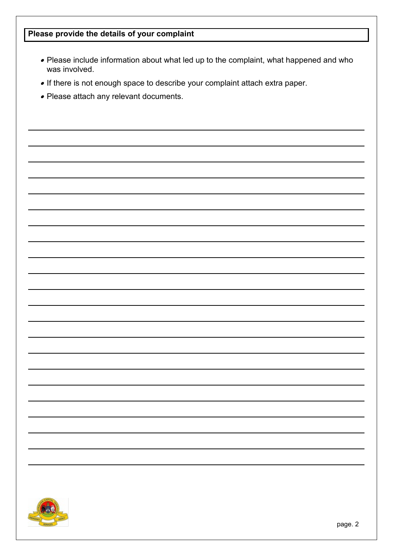## **Please provide the details of your complaint**

- Please include information about what led up to the complaint, what happened and who was involved.
- If there is not enough space to describe your complaint attach extra paper.
- Please attach any relevant documents.